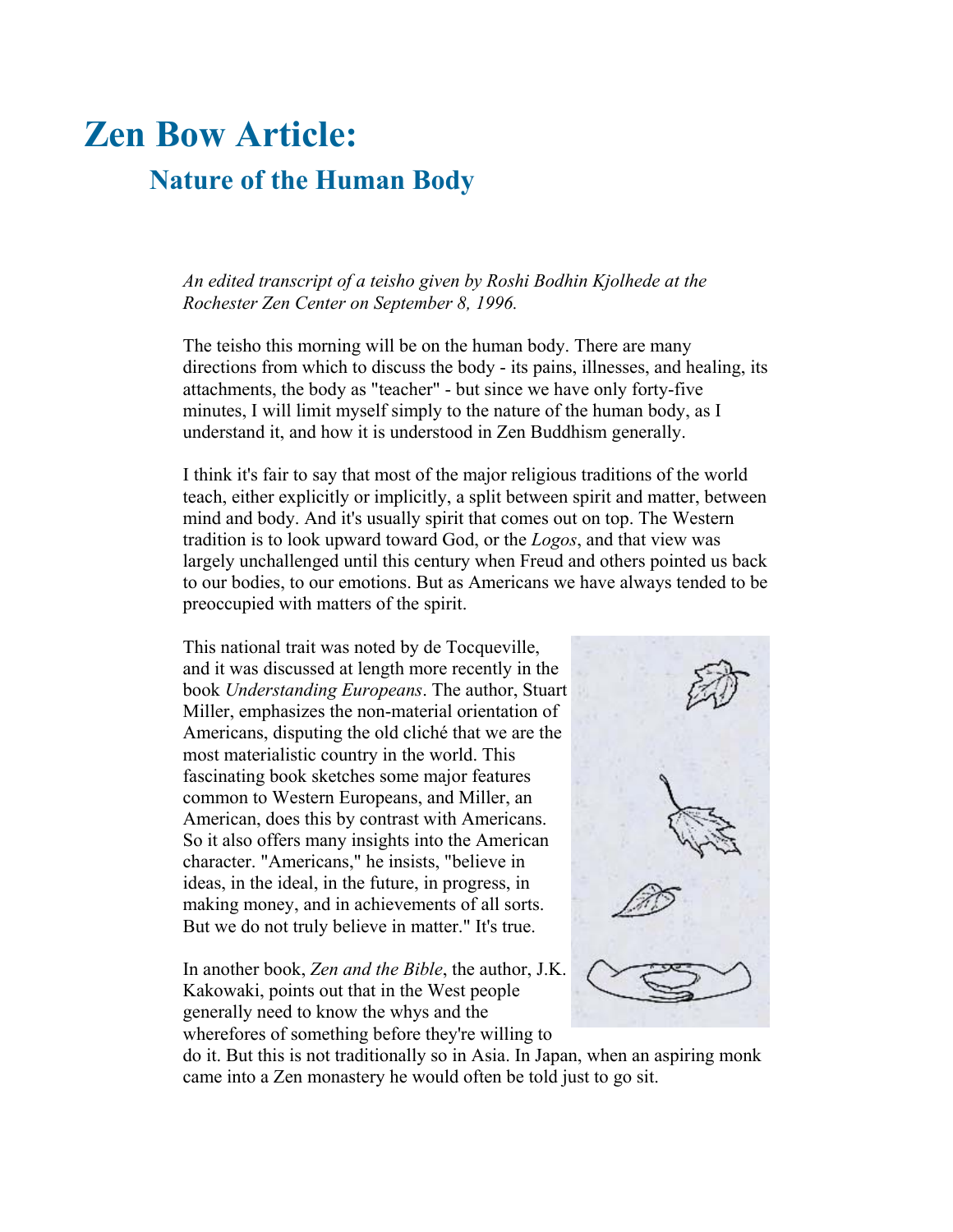## **Zen Bow Article:**

## **Nature of the Human Body**

*An edited transcript of a teisho given by Roshi Bodhin Kjolhede at the Rochester Zen Center on September 8, 1996.*

The teisho this morning will be on the human body. There are many directions from which to discuss the body - its pains, illnesses, and healing, its attachments, the body as "teacher" - but since we have only forty-five minutes, I will limit myself simply to the nature of the human body, as I understand it, and how it is understood in Zen Buddhism generally.

I think it's fair to say that most of the major religious traditions of the world teach, either explicitly or implicitly, a split between spirit and matter, between mind and body. And it's usually spirit that comes out on top. The Western tradition is to look upward toward God, or the *Logos*, and that view was largely unchallenged until this century when Freud and others pointed us back to our bodies, to our emotions. But as Americans we have always tended to be preoccupied with matters of the spirit.

This national trait was noted by de Tocqueville, and it was discussed at length more recently in the book *Understanding Europeans*. The author, Stuart Miller, emphasizes the non-material orientation of Americans, disputing the old cliché that we are the most materialistic country in the world. This fascinating book sketches some major features common to Western Europeans, and Miller, an American, does this by contrast with Americans. So it also offers many insights into the American character. "Americans," he insists, "believe in ideas, in the ideal, in the future, in progress, in making money, and in achievements of all sorts. But we do not truly believe in matter." It's true.

In another book, *Zen and the Bible*, the author, J.K. Kakowaki, points out that in the West people generally need to know the whys and the wherefores of something before they're willing to



do it. But this is not traditionally so in Asia. In Japan, when an aspiring monk came into a Zen monastery he would often be told just to go sit.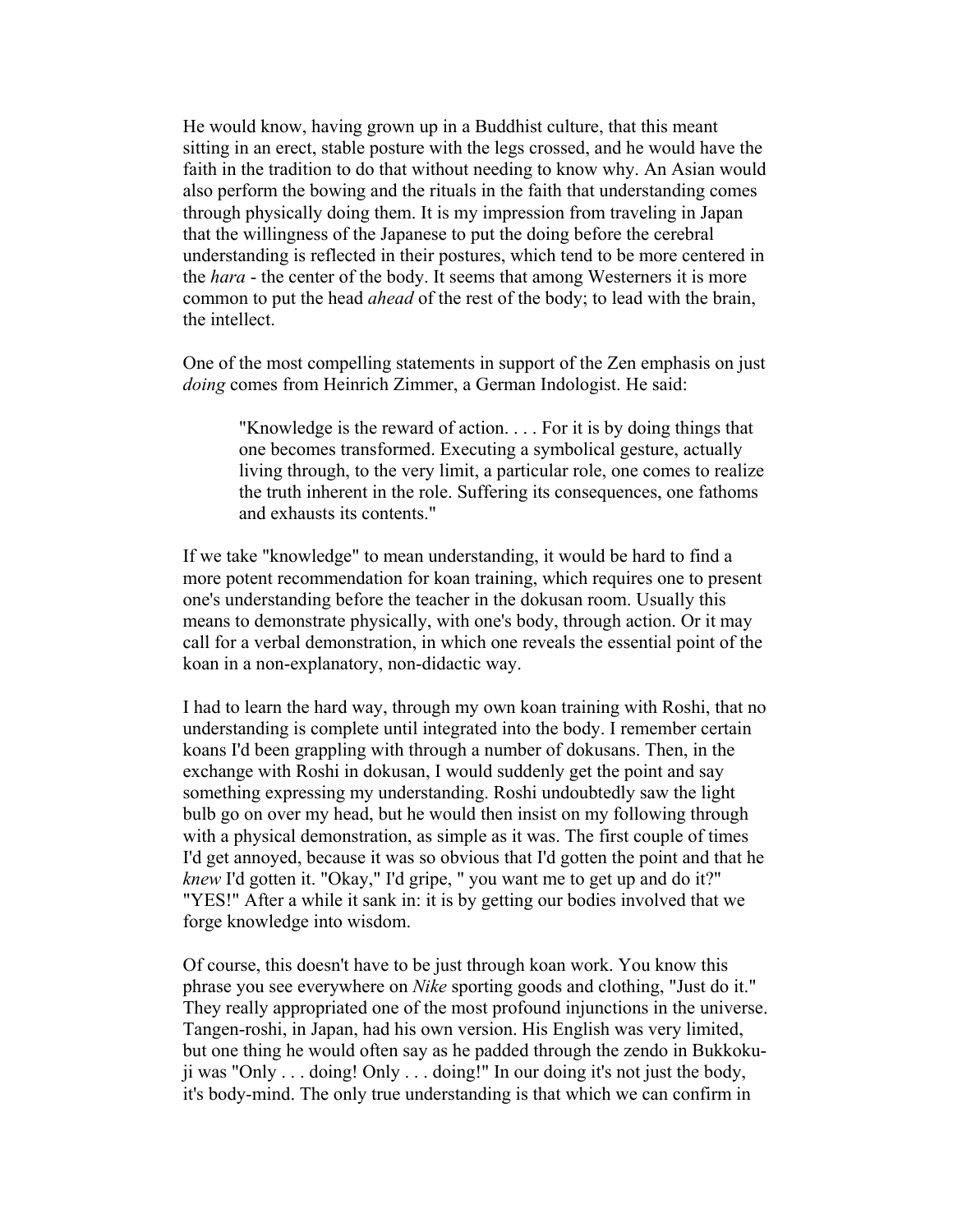He would know, having grown up in a Buddhist culture, that this meant sitting in an erect, stable posture with the legs crossed, and he would have the faith in the tradition to do that without needing to know why. An Asian would also perform the bowing and the rituals in the faith that understanding comes through physically doing them. It is my impression from traveling in Japan that the willingness of the Japanese to put the doing before the cerebral understanding is reflected in their postures, which tend to be more centered in the *hara* - the center of the body. It seems that among Westerners it is more common to put the head *ahead* of the rest of the body; to lead with the brain, the intellect.

One of the most compelling statements in support of the Zen emphasis on just *doing* comes from Heinrich Zimmer, a German Indologist. He said:

"Knowledge is the reward of action. . . . For it is by doing things that one becomes transformed. Executing a symbolical gesture, actually living through, to the very limit, a particular role, one comes to realize the truth inherent in the role. Suffering its consequences, one fathoms and exhausts its contents."

If we take "knowledge" to mean understanding, it would be hard to find a more potent recommendation for koan training, which requires one to present one's understanding before the teacher in the dokusan room. Usually this means to demonstrate physically, with one's body, through action. Or it may call for a verbal demonstration, in which one reveals the essential point of the koan in a non-explanatory, non-didactic way.

I had to learn the hard way, through my own koan training with Roshi, that no understanding is complete until integrated into the body. I remember certain koans I'd been grappling with through a number of dokusans. Then, in the exchange with Roshi in dokusan, I would suddenly get the point and say something expressing my understanding. Roshi undoubtedly saw the light bulb go on over my head, but he would then insist on my following through with a physical demonstration, as simple as it was. The first couple of times I'd get annoyed, because it was so obvious that I'd gotten the point and that he *knew* I'd gotten it. "Okay," I'd gripe, " you want me to get up and do it?" "YES!" After a while it sank in: it is by getting our bodies involved that we forge knowledge into wisdom.

Of course, this doesn't have to be just through koan work. You know this phrase you see everywhere on *Nike* sporting goods and clothing, "Just do it." They really appropriated one of the most profound injunctions in the universe. Tangen-roshi, in Japan, had his own version. His English was very limited, but one thing he would often say as he padded through the zendo in Bukkokuji was "Only . . . doing! Only . . . doing!" In our doing it's not just the body, it's body-mind. The only true understanding is that which we can confirm in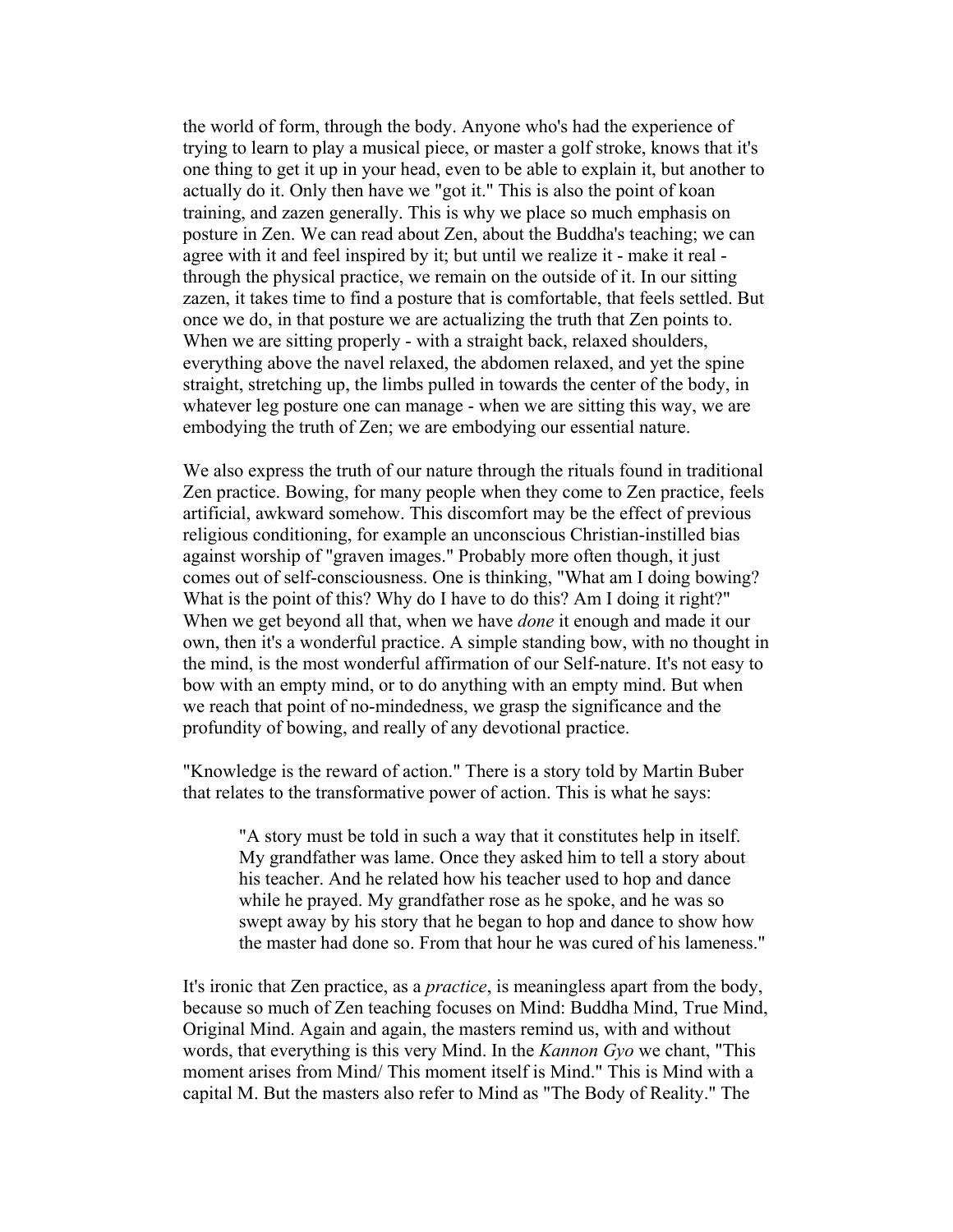the world of form, through the body. Anyone who's had the experience of trying to learn to play a musical piece, or master a golf stroke, knows that it's one thing to get it up in your head, even to be able to explain it, but another to actually do it. Only then have we "got it." This is also the point of koan training, and zazen generally. This is why we place so much emphasis on posture in Zen. We can read about Zen, about the Buddha's teaching; we can agree with it and feel inspired by it; but until we realize it - make it real through the physical practice, we remain on the outside of it. In our sitting zazen, it takes time to find a posture that is comfortable, that feels settled. But once we do, in that posture we are actualizing the truth that Zen points to. When we are sitting properly - with a straight back, relaxed shoulders, everything above the navel relaxed, the abdomen relaxed, and yet the spine straight, stretching up, the limbs pulled in towards the center of the body, in whatever leg posture one can manage - when we are sitting this way, we are embodying the truth of Zen; we are embodying our essential nature.

We also express the truth of our nature through the rituals found in traditional Zen practice. Bowing, for many people when they come to Zen practice, feels artificial, awkward somehow. This discomfort may be the effect of previous religious conditioning, for example an unconscious Christian-instilled bias against worship of "graven images." Probably more often though, it just comes out of self-consciousness. One is thinking, "What am I doing bowing? What is the point of this? Why do I have to do this? Am I doing it right?" When we get beyond all that, when we have *done* it enough and made it our own, then it's a wonderful practice. A simple standing bow, with no thought in the mind, is the most wonderful affirmation of our Self-nature. It's not easy to bow with an empty mind, or to do anything with an empty mind. But when we reach that point of no-mindedness, we grasp the significance and the profundity of bowing, and really of any devotional practice.

"Knowledge is the reward of action." There is a story told by Martin Buber that relates to the transformative power of action. This is what he says:

"A story must be told in such a way that it constitutes help in itself. My grandfather was lame. Once they asked him to tell a story about his teacher. And he related how his teacher used to hop and dance while he prayed. My grandfather rose as he spoke, and he was so swept away by his story that he began to hop and dance to show how the master had done so. From that hour he was cured of his lameness."

It's ironic that Zen practice, as a *practice*, is meaningless apart from the body, because so much of Zen teaching focuses on Mind: Buddha Mind, True Mind, Original Mind. Again and again, the masters remind us, with and without words, that everything is this very Mind. In the *Kannon Gyo* we chant, "This moment arises from Mind/ This moment itself is Mind." This is Mind with a capital M. But the masters also refer to Mind as "The Body of Reality." The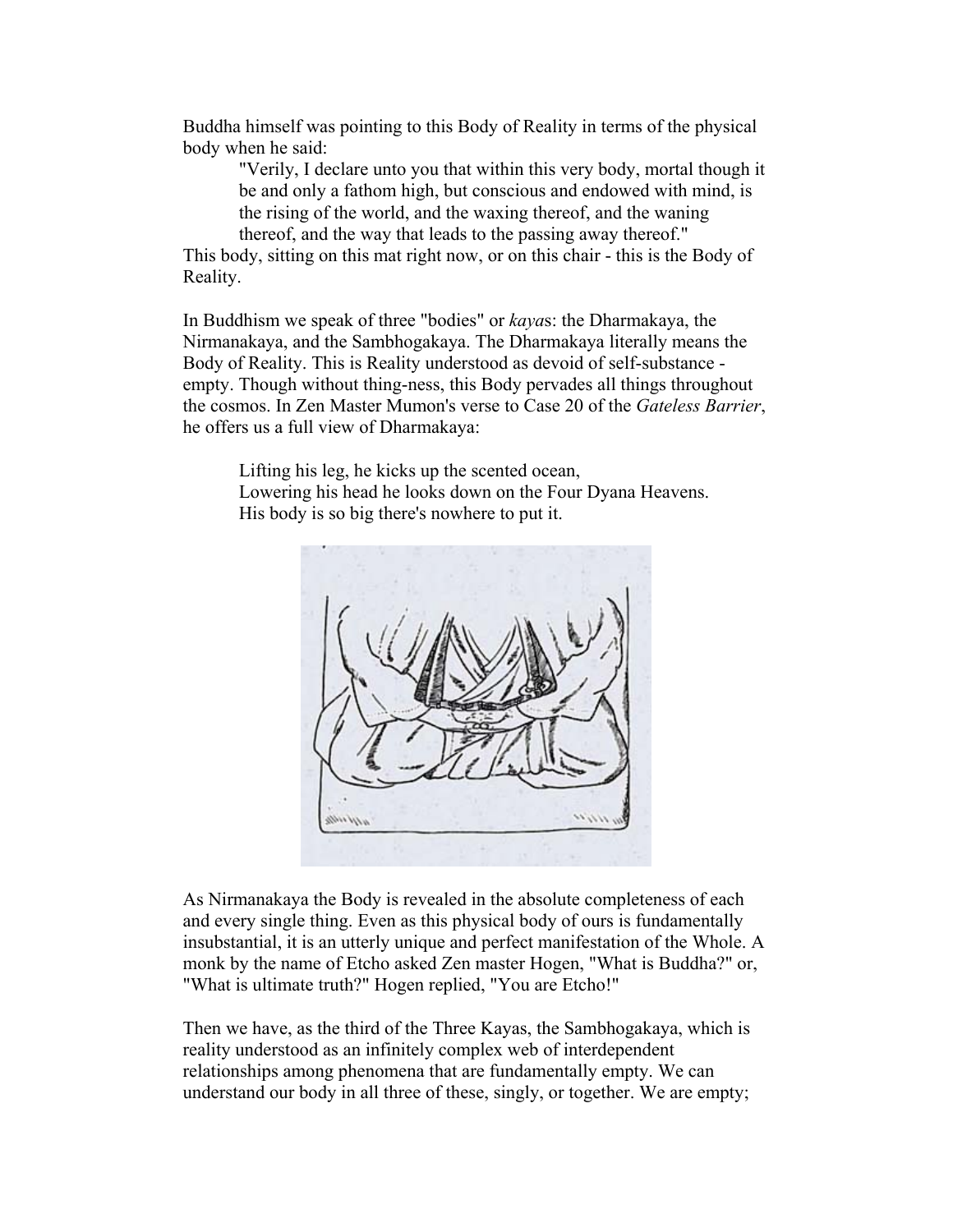Buddha himself was pointing to this Body of Reality in terms of the physical body when he said:

"Verily, I declare unto you that within this very body, mortal though it be and only a fathom high, but conscious and endowed with mind, is the rising of the world, and the waxing thereof, and the waning thereof, and the way that leads to the passing away thereof."

This body, sitting on this mat right now, or on this chair - this is the Body of Reality.

In Buddhism we speak of three "bodies" or *kaya*s: the Dharmakaya, the Nirmanakaya, and the Sambhogakaya. The Dharmakaya literally means the Body of Reality. This is Reality understood as devoid of self-substance empty. Though without thing-ness, this Body pervades all things throughout the cosmos. In Zen Master Mumon's verse to Case 20 of the *Gateless Barrier*, he offers us a full view of Dharmakaya:

Lifting his leg, he kicks up the scented ocean, Lowering his head he looks down on the Four Dyana Heavens. His body is so big there's nowhere to put it.



As Nirmanakaya the Body is revealed in the absolute completeness of each and every single thing. Even as this physical body of ours is fundamentally insubstantial, it is an utterly unique and perfect manifestation of the Whole. A monk by the name of Etcho asked Zen master Hogen, "What is Buddha?" or, "What is ultimate truth?" Hogen replied, "You are Etcho!"

Then we have, as the third of the Three Kayas, the Sambhogakaya, which is reality understood as an infinitely complex web of interdependent relationships among phenomena that are fundamentally empty. We can understand our body in all three of these, singly, or together. We are empty;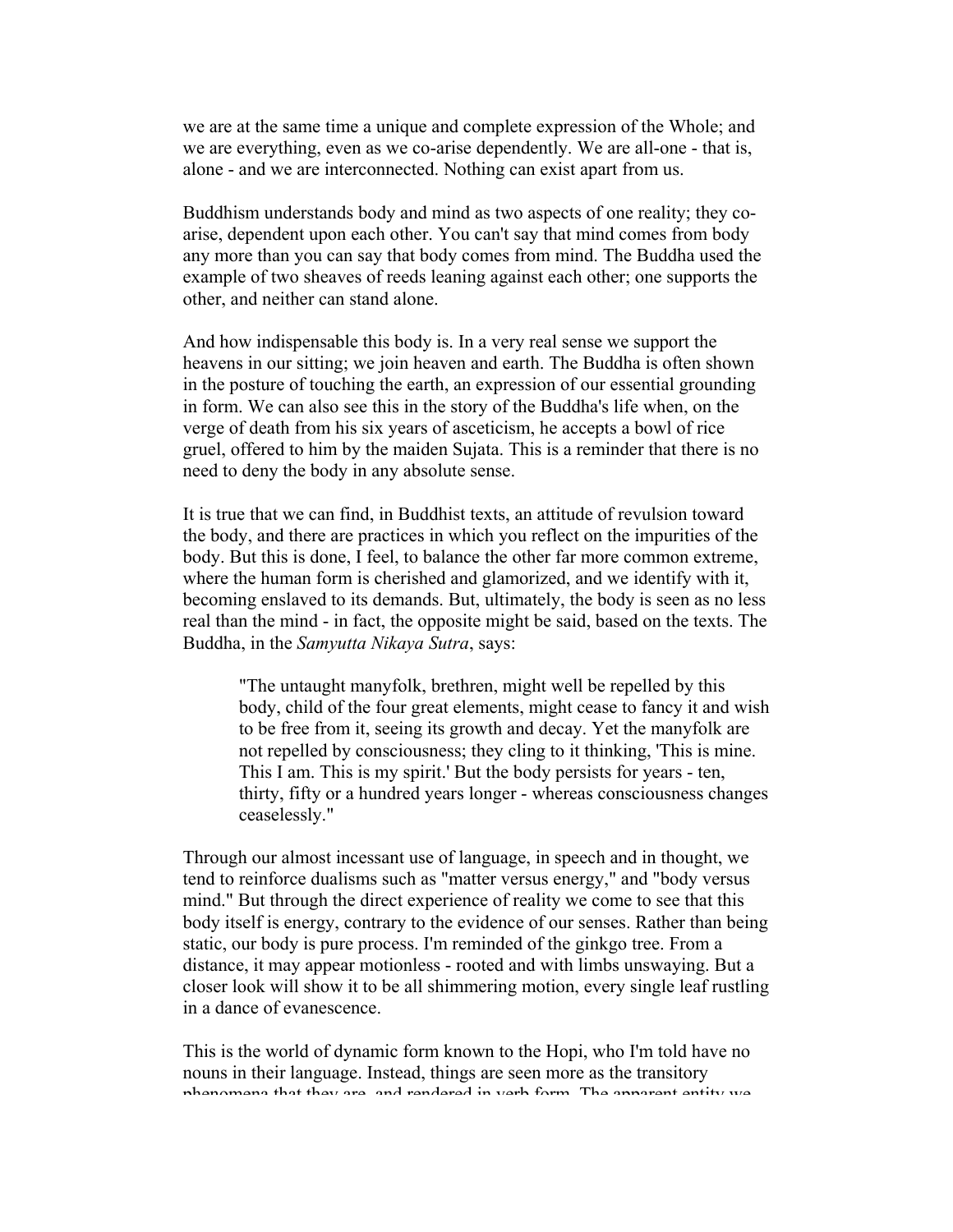we are at the same time a unique and complete expression of the Whole; and we are everything, even as we co-arise dependently. We are all-one - that is, alone - and we are interconnected. Nothing can exist apart from us.

Buddhism understands body and mind as two aspects of one reality; they coarise, dependent upon each other. You can't say that mind comes from body any more than you can say that body comes from mind. The Buddha used the example of two sheaves of reeds leaning against each other; one supports the other, and neither can stand alone.

And how indispensable this body is. In a very real sense we support the heavens in our sitting; we join heaven and earth. The Buddha is often shown in the posture of touching the earth, an expression of our essential grounding in form. We can also see this in the story of the Buddha's life when, on the verge of death from his six years of asceticism, he accepts a bowl of rice gruel, offered to him by the maiden Sujata. This is a reminder that there is no need to deny the body in any absolute sense.

It is true that we can find, in Buddhist texts, an attitude of revulsion toward the body, and there are practices in which you reflect on the impurities of the body. But this is done, I feel, to balance the other far more common extreme, where the human form is cherished and glamorized, and we identify with it, becoming enslaved to its demands. But, ultimately, the body is seen as no less real than the mind - in fact, the opposite might be said, based on the texts. The Buddha, in the *Samyutta Nikaya Sutra*, says:

"The untaught manyfolk, brethren, might well be repelled by this body, child of the four great elements, might cease to fancy it and wish to be free from it, seeing its growth and decay. Yet the manyfolk are not repelled by consciousness; they cling to it thinking, 'This is mine. This I am. This is my spirit.' But the body persists for years - ten, thirty, fifty or a hundred years longer - whereas consciousness changes ceaselessly."

Through our almost incessant use of language, in speech and in thought, we tend to reinforce dualisms such as "matter versus energy," and "body versus mind." But through the direct experience of reality we come to see that this body itself is energy, contrary to the evidence of our senses. Rather than being static, our body is pure process. I'm reminded of the ginkgo tree. From a distance, it may appear motionless - rooted and with limbs unswaying. But a closer look will show it to be all shimmering motion, every single leaf rustling in a dance of evanescence.

This is the world of dynamic form known to the Hopi, who I'm told have no nouns in their language. Instead, things are seen more as the transitory phenomena that they are and rendered in verb form The apparent entity we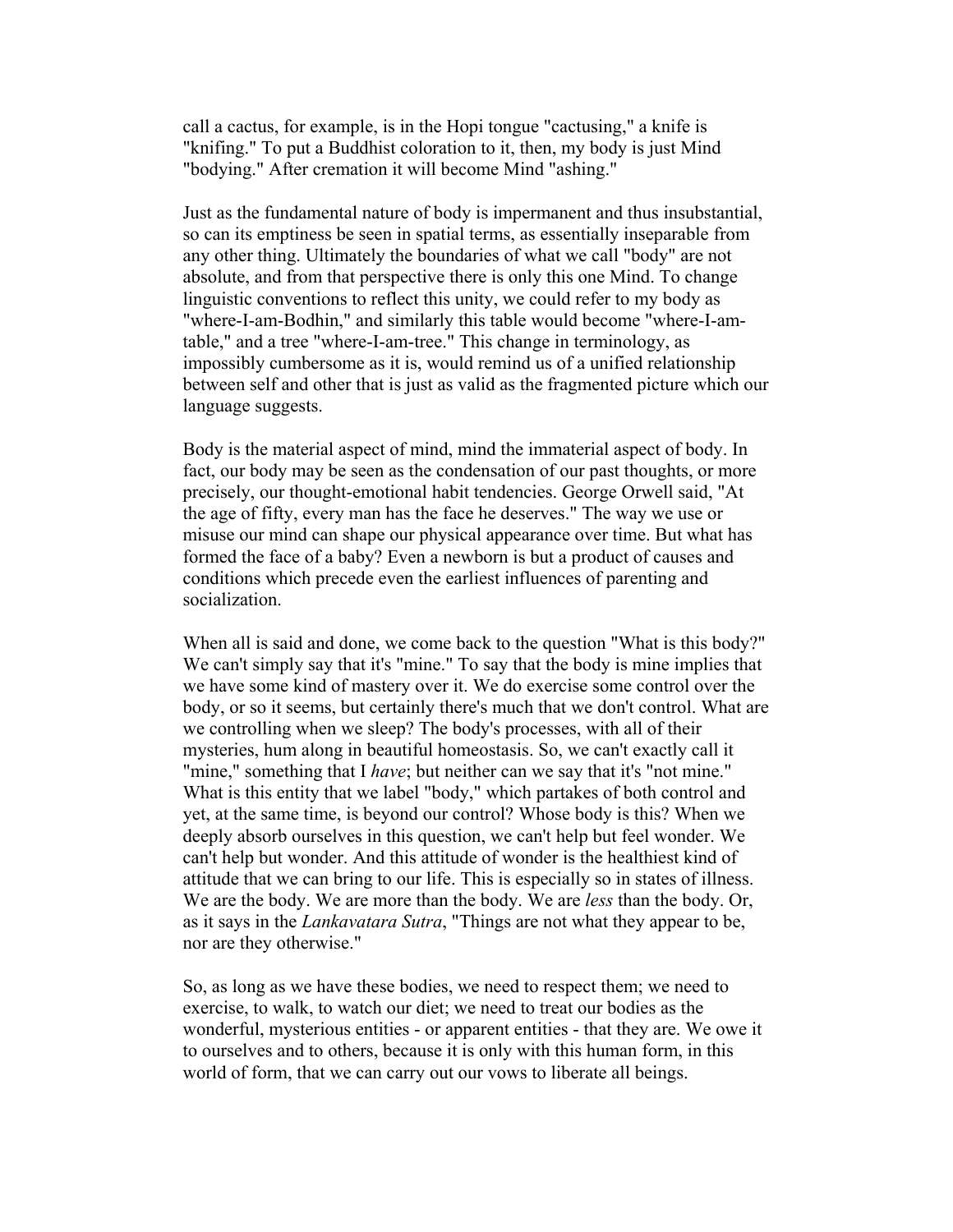call a cactus, for example, is in the Hopi tongue "cactusing," a knife is "knifing." To put a Buddhist coloration to it, then, my body is just Mind "bodying." After cremation it will become Mind "ashing."

Just as the fundamental nature of body is impermanent and thus insubstantial, so can its emptiness be seen in spatial terms, as essentially inseparable from any other thing. Ultimately the boundaries of what we call "body" are not absolute, and from that perspective there is only this one Mind. To change linguistic conventions to reflect this unity, we could refer to my body as "where-I-am-Bodhin," and similarly this table would become "where-I-amtable," and a tree "where-I-am-tree." This change in terminology, as impossibly cumbersome as it is, would remind us of a unified relationship between self and other that is just as valid as the fragmented picture which our language suggests.

Body is the material aspect of mind, mind the immaterial aspect of body. In fact, our body may be seen as the condensation of our past thoughts, or more precisely, our thought-emotional habit tendencies. George Orwell said, "At the age of fifty, every man has the face he deserves." The way we use or misuse our mind can shape our physical appearance over time. But what has formed the face of a baby? Even a newborn is but a product of causes and conditions which precede even the earliest influences of parenting and socialization.

When all is said and done, we come back to the question "What is this body?" We can't simply say that it's "mine." To say that the body is mine implies that we have some kind of mastery over it. We do exercise some control over the body, or so it seems, but certainly there's much that we don't control. What are we controlling when we sleep? The body's processes, with all of their mysteries, hum along in beautiful homeostasis. So, we can't exactly call it "mine," something that I *have*; but neither can we say that it's "not mine." What is this entity that we label "body," which partakes of both control and yet, at the same time, is beyond our control? Whose body is this? When we deeply absorb ourselves in this question, we can't help but feel wonder. We can't help but wonder. And this attitude of wonder is the healthiest kind of attitude that we can bring to our life. This is especially so in states of illness. We are the body. We are more than the body. We are *less* than the body. Or, as it says in the *Lankavatara Sutra*, "Things are not what they appear to be, nor are they otherwise."

So, as long as we have these bodies, we need to respect them; we need to exercise, to walk, to watch our diet; we need to treat our bodies as the wonderful, mysterious entities - or apparent entities - that they are. We owe it to ourselves and to others, because it is only with this human form, in this world of form, that we can carry out our vows to liberate all beings.